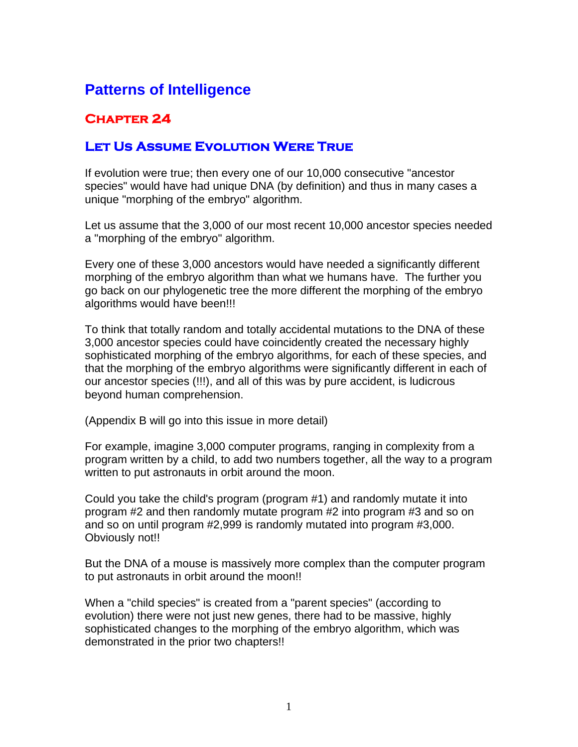# **Patterns of Intelligence**

## **Chapter 24**

### **Let Us Assume Evolution Were True**

If evolution were true; then every one of our 10,000 consecutive "ancestor species" would have had unique DNA (by definition) and thus in many cases a unique "morphing of the embryo" algorithm.

Let us assume that the 3,000 of our most recent 10,000 ancestor species needed a "morphing of the embryo" algorithm.

Every one of these 3,000 ancestors would have needed a significantly different morphing of the embryo algorithm than what we humans have. The further you go back on our phylogenetic tree the more different the morphing of the embryo algorithms would have been!!!

To think that totally random and totally accidental mutations to the DNA of these 3,000 ancestor species could have coincidently created the necessary highly sophisticated morphing of the embryo algorithms, for each of these species, and that the morphing of the embryo algorithms were significantly different in each of our ancestor species (!!!), and all of this was by pure accident, is ludicrous beyond human comprehension.

(Appendix B will go into this issue in more detail)

For example, imagine 3,000 computer programs, ranging in complexity from a program written by a child, to add two numbers together, all the way to a program written to put astronauts in orbit around the moon.

Could you take the child's program (program #1) and randomly mutate it into program #2 and then randomly mutate program #2 into program #3 and so on and so on until program #2,999 is randomly mutated into program #3,000. Obviously not!!

But the DNA of a mouse is massively more complex than the computer program to put astronauts in orbit around the moon!!

When a "child species" is created from a "parent species" (according to evolution) there were not just new genes, there had to be massive, highly sophisticated changes to the morphing of the embryo algorithm, which was demonstrated in the prior two chapters!!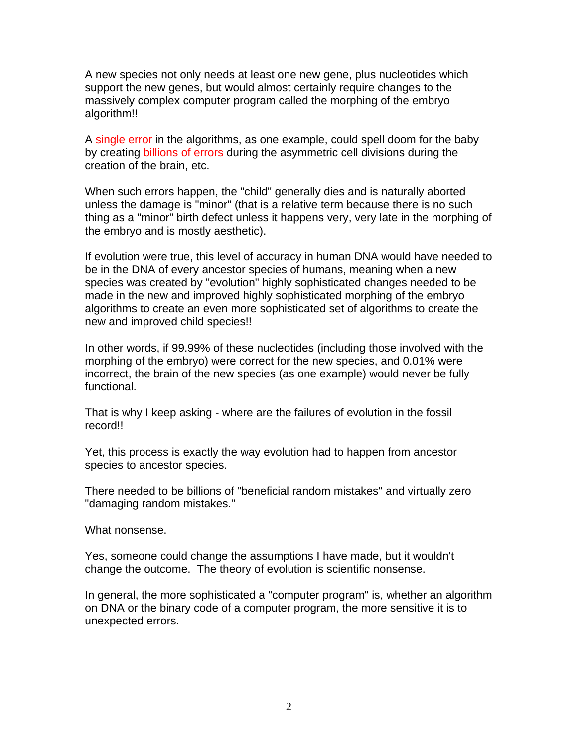A new species not only needs at least one new gene, plus nucleotides which support the new genes, but would almost certainly require changes to the massively complex computer program called the morphing of the embryo algorithm!!

A single error in the algorithms, as one example, could spell doom for the baby by creating billions of errors during the asymmetric cell divisions during the creation of the brain, etc.

When such errors happen, the "child" generally dies and is naturally aborted unless the damage is "minor" (that is a relative term because there is no such thing as a "minor" birth defect unless it happens very, very late in the morphing of the embryo and is mostly aesthetic).

If evolution were true, this level of accuracy in human DNA would have needed to be in the DNA of every ancestor species of humans, meaning when a new species was created by "evolution" highly sophisticated changes needed to be made in the new and improved highly sophisticated morphing of the embryo algorithms to create an even more sophisticated set of algorithms to create the new and improved child species!!

In other words, if 99.99% of these nucleotides (including those involved with the morphing of the embryo) were correct for the new species, and 0.01% were incorrect, the brain of the new species (as one example) would never be fully functional.

That is why I keep asking - where are the failures of evolution in the fossil record!!

Yet, this process is exactly the way evolution had to happen from ancestor species to ancestor species.

There needed to be billions of "beneficial random mistakes" and virtually zero "damaging random mistakes."

What nonsense.

Yes, someone could change the assumptions I have made, but it wouldn't change the outcome. The theory of evolution is scientific nonsense.

In general, the more sophisticated a "computer program" is, whether an algorithm on DNA or the binary code of a computer program, the more sensitive it is to unexpected errors.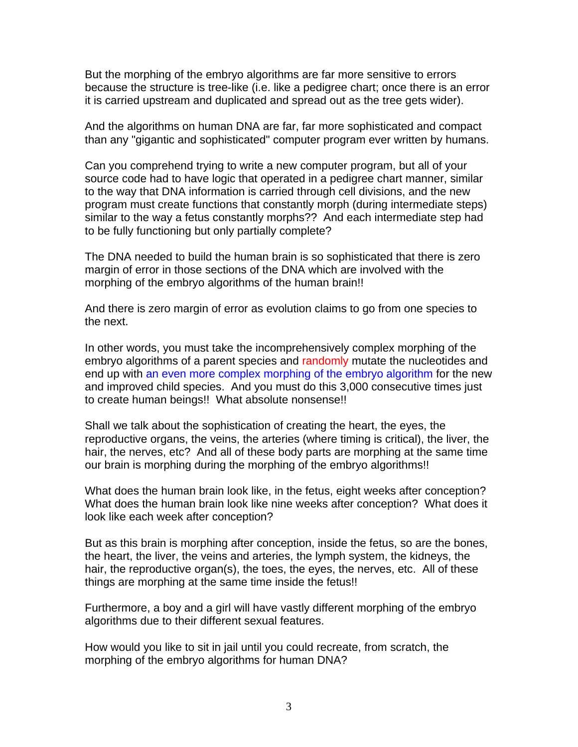But the morphing of the embryo algorithms are far more sensitive to errors because the structure is tree-like (i.e. like a pedigree chart; once there is an error it is carried upstream and duplicated and spread out as the tree gets wider).

And the algorithms on human DNA are far, far more sophisticated and compact than any "gigantic and sophisticated" computer program ever written by humans.

Can you comprehend trying to write a new computer program, but all of your source code had to have logic that operated in a pedigree chart manner, similar to the way that DNA information is carried through cell divisions, and the new program must create functions that constantly morph (during intermediate steps) similar to the way a fetus constantly morphs?? And each intermediate step had to be fully functioning but only partially complete?

The DNA needed to build the human brain is so sophisticated that there is zero margin of error in those sections of the DNA which are involved with the morphing of the embryo algorithms of the human brain!!

And there is zero margin of error as evolution claims to go from one species to the next.

In other words, you must take the incomprehensively complex morphing of the embryo algorithms of a parent species and randomly mutate the nucleotides and end up with an even more complex morphing of the embryo algorithm for the new and improved child species. And you must do this 3,000 consecutive times just to create human beings!! What absolute nonsense!!

Shall we talk about the sophistication of creating the heart, the eyes, the reproductive organs, the veins, the arteries (where timing is critical), the liver, the hair, the nerves, etc? And all of these body parts are morphing at the same time our brain is morphing during the morphing of the embryo algorithms!!

What does the human brain look like, in the fetus, eight weeks after conception? What does the human brain look like nine weeks after conception? What does it look like each week after conception?

But as this brain is morphing after conception, inside the fetus, so are the bones, the heart, the liver, the veins and arteries, the lymph system, the kidneys, the hair, the reproductive organ(s), the toes, the eyes, the nerves, etc. All of these things are morphing at the same time inside the fetus!!

Furthermore, a boy and a girl will have vastly different morphing of the embryo algorithms due to their different sexual features.

How would you like to sit in jail until you could recreate, from scratch, the morphing of the embryo algorithms for human DNA?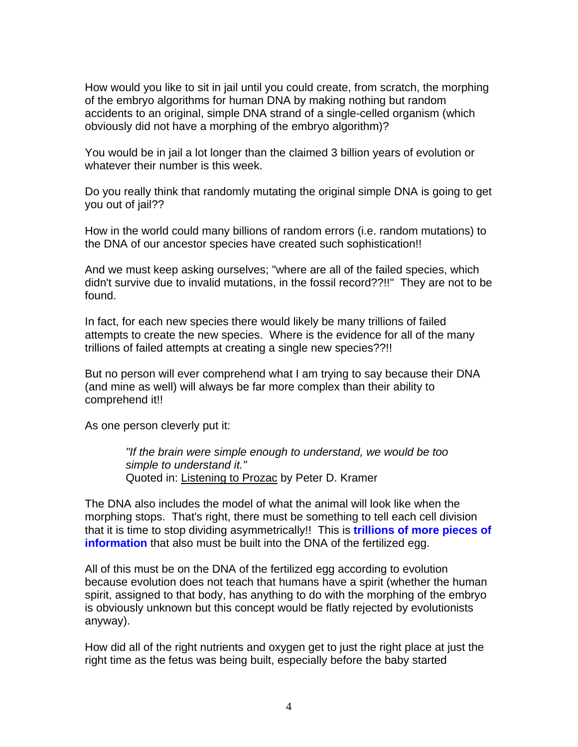How would you like to sit in jail until you could create, from scratch, the morphing of the embryo algorithms for human DNA by making nothing but random accidents to an original, simple DNA strand of a single-celled organism (which obviously did not have a morphing of the embryo algorithm)?

You would be in jail a lot longer than the claimed 3 billion years of evolution or whatever their number is this week.

Do you really think that randomly mutating the original simple DNA is going to get you out of jail??

How in the world could many billions of random errors (i.e. random mutations) to the DNA of our ancestor species have created such sophistication!!

And we must keep asking ourselves; "where are all of the failed species, which didn't survive due to invalid mutations, in the fossil record??!!" They are not to be found.

In fact, for each new species there would likely be many trillions of failed attempts to create the new species. Where is the evidence for all of the many trillions of failed attempts at creating a single new species??!!

But no person will ever comprehend what I am trying to say because their DNA (and mine as well) will always be far more complex than their ability to comprehend it!!

As one person cleverly put it:

*"If the brain were simple enough to understand, we would be too simple to understand it."*  Quoted in: Listening to Prozac by Peter D. Kramer

The DNA also includes the model of what the animal will look like when the morphing stops. That's right, there must be something to tell each cell division that it is time to stop dividing asymmetrically!! This is **trillions of more pieces of information** that also must be built into the DNA of the fertilized egg.

All of this must be on the DNA of the fertilized egg according to evolution because evolution does not teach that humans have a spirit (whether the human spirit, assigned to that body, has anything to do with the morphing of the embryo is obviously unknown but this concept would be flatly rejected by evolutionists anyway).

How did all of the right nutrients and oxygen get to just the right place at just the right time as the fetus was being built, especially before the baby started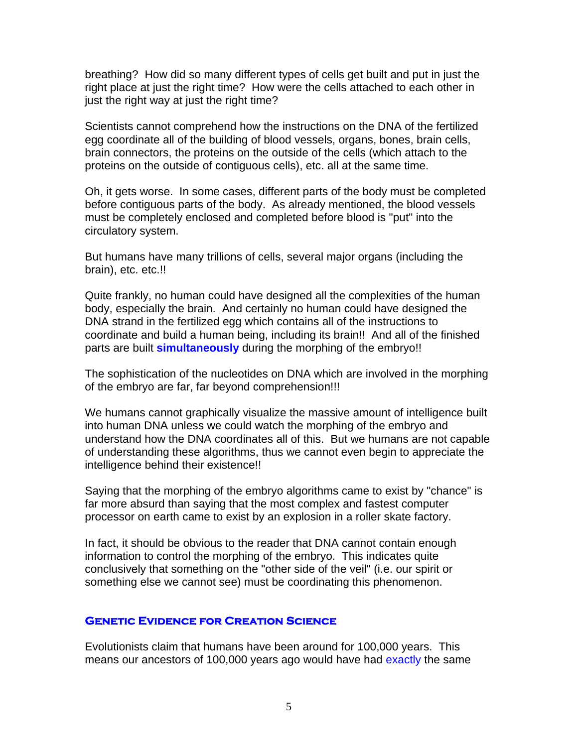breathing? How did so many different types of cells get built and put in just the right place at just the right time? How were the cells attached to each other in just the right way at just the right time?

Scientists cannot comprehend how the instructions on the DNA of the fertilized egg coordinate all of the building of blood vessels, organs, bones, brain cells, brain connectors, the proteins on the outside of the cells (which attach to the proteins on the outside of contiguous cells), etc. all at the same time.

Oh, it gets worse. In some cases, different parts of the body must be completed before contiguous parts of the body. As already mentioned, the blood vessels must be completely enclosed and completed before blood is "put" into the circulatory system.

But humans have many trillions of cells, several major organs (including the brain), etc. etc.!!

Quite frankly, no human could have designed all the complexities of the human body, especially the brain. And certainly no human could have designed the DNA strand in the fertilized egg which contains all of the instructions to coordinate and build a human being, including its brain!! And all of the finished parts are built **simultaneously** during the morphing of the embryo!!

The sophistication of the nucleotides on DNA which are involved in the morphing of the embryo are far, far beyond comprehension!!!

We humans cannot graphically visualize the massive amount of intelligence built into human DNA unless we could watch the morphing of the embryo and understand how the DNA coordinates all of this. But we humans are not capable of understanding these algorithms, thus we cannot even begin to appreciate the intelligence behind their existence!!

Saying that the morphing of the embryo algorithms came to exist by "chance" is far more absurd than saying that the most complex and fastest computer processor on earth came to exist by an explosion in a roller skate factory.

In fact, it should be obvious to the reader that DNA cannot contain enough information to control the morphing of the embryo. This indicates quite conclusively that something on the "other side of the veil" (i.e. our spirit or something else we cannot see) must be coordinating this phenomenon.

#### **Genetic Evidence for Creation Science**

Evolutionists claim that humans have been around for 100,000 years. This means our ancestors of 100,000 years ago would have had exactly the same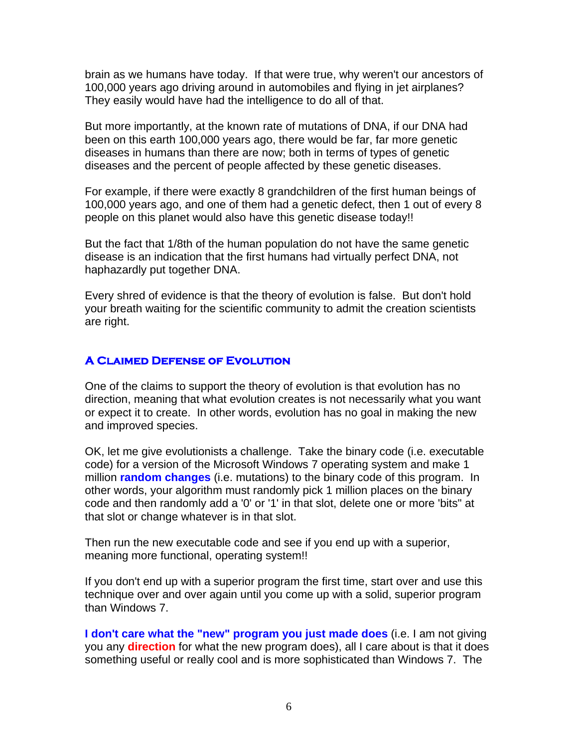brain as we humans have today. If that were true, why weren't our ancestors of 100,000 years ago driving around in automobiles and flying in jet airplanes? They easily would have had the intelligence to do all of that.

But more importantly, at the known rate of mutations of DNA, if our DNA had been on this earth 100,000 years ago, there would be far, far more genetic diseases in humans than there are now; both in terms of types of genetic diseases and the percent of people affected by these genetic diseases.

For example, if there were exactly 8 grandchildren of the first human beings of 100,000 years ago, and one of them had a genetic defect, then 1 out of every 8 people on this planet would also have this genetic disease today!!

But the fact that 1/8th of the human population do not have the same genetic disease is an indication that the first humans had virtually perfect DNA, not haphazardly put together DNA.

Every shred of evidence is that the theory of evolution is false. But don't hold your breath waiting for the scientific community to admit the creation scientists are right.

#### **A Claimed Defense of Evolution**

One of the claims to support the theory of evolution is that evolution has no direction, meaning that what evolution creates is not necessarily what you want or expect it to create. In other words, evolution has no goal in making the new and improved species.

OK, let me give evolutionists a challenge. Take the binary code (i.e. executable code) for a version of the Microsoft Windows 7 operating system and make 1 million **random changes** (i.e. mutations) to the binary code of this program. In other words, your algorithm must randomly pick 1 million places on the binary code and then randomly add a '0' or '1' in that slot, delete one or more 'bits" at that slot or change whatever is in that slot.

Then run the new executable code and see if you end up with a superior, meaning more functional, operating system!!

If you don't end up with a superior program the first time, start over and use this technique over and over again until you come up with a solid, superior program than Windows 7.

**I don't care what the "new" program you just made does** (i.e. I am not giving you any **direction** for what the new program does), all I care about is that it does something useful or really cool and is more sophisticated than Windows 7. The